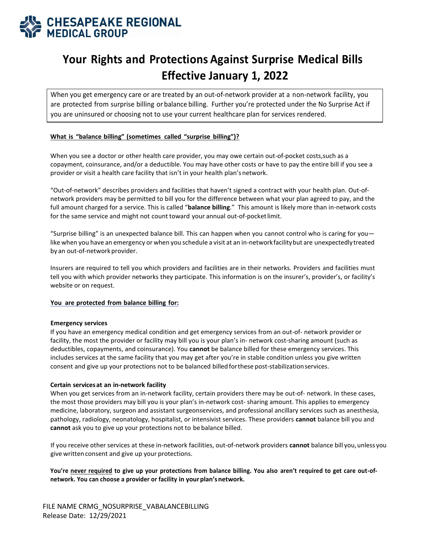

# **Your Rights and Protections Against Surprise Medical Bills Effective January 1, 2022**

When you get emergency care or are treated by an out-of-network provider at a non-network facility, you are protected from surprise billing or balance billing. Further you're protected under the No Surprise Act if you are uninsured or choosing not to use your current healthcare plan for services rendered.

## **What is "balance billing" (sometimes called "surprise billing")?**

When you see a doctor or other health care provider, you may owe certain out-of-pocket costs,such as a copayment, coinsurance, and/or a deductible. You may have other costs or have to pay the entire bill if you see a provider or visit a health care facility that isn't in your health plan'snetwork.

"Out-of-network" describes providers and facilities that haven't signed a contract with your health plan. Out-ofnetwork providers may be permitted to bill you for the difference between what your plan agreed to pay, and the full amount charged for a service. This is called "**balance billing**." This amount is likely more than in-network costs for the same service and might not count toward your annual out-of-pocketlimit.

"Surprise billing" is an unexpected balance bill. This can happen when you cannot control who is caring for you like when you have an emergency or when you schedule a visit at an in-networkfacilitybut are unexpectedlytreated by an out-of-network provider.

Insurers are required to tell you which providers and facilities are in their networks. Providers and facilities must tell you with which provider networks they participate. This information is on the insurer's, provider's, or facility's website or on request.

### **You are protected from balance billing for:**

#### **Emergency services**

If you have an emergency medical condition and get emergency services from an out-of- network provider or facility, the most the provider or facility may bill you is your plan's in- network cost-sharing amount (such as deductibles, copayments, and coinsurance). You **cannot** be balance billed for these emergency services. This includes services at the same facility that you may get after you're in stable condition unless you give written consent and give up your protections not to be balanced billed forthese post-stabilizationservices.

#### **Certain servicesat an in-network facility**

When you get services from an in-network facility, certain providers there may be out-of- network. In these cases, the most those providers may bill you is your plan's in-network cost- sharing amount. This applies to emergency medicine, laboratory, surgeon and assistant surgeonservices, and professional ancillary services such as anesthesia, pathology, radiology, neonatology, hospitalist, or intensivist services. These providers **cannot** balance bill you and **cannot** ask you to give up your protections not to be balance billed.

If you receive other services at these in-network facilities, out-of-network providers **cannot** balance bill you,unless you give written consent and give up your protections.

**You're never required to give up your protections from balance billing. You also aren't required to get care out-ofnetwork. You can choose a provider or facility in yourplan'snetwork.**

FILE NAME CRMG\_NOSURPRISE\_VABALANCEBILLING Release Date: 12/29/2021